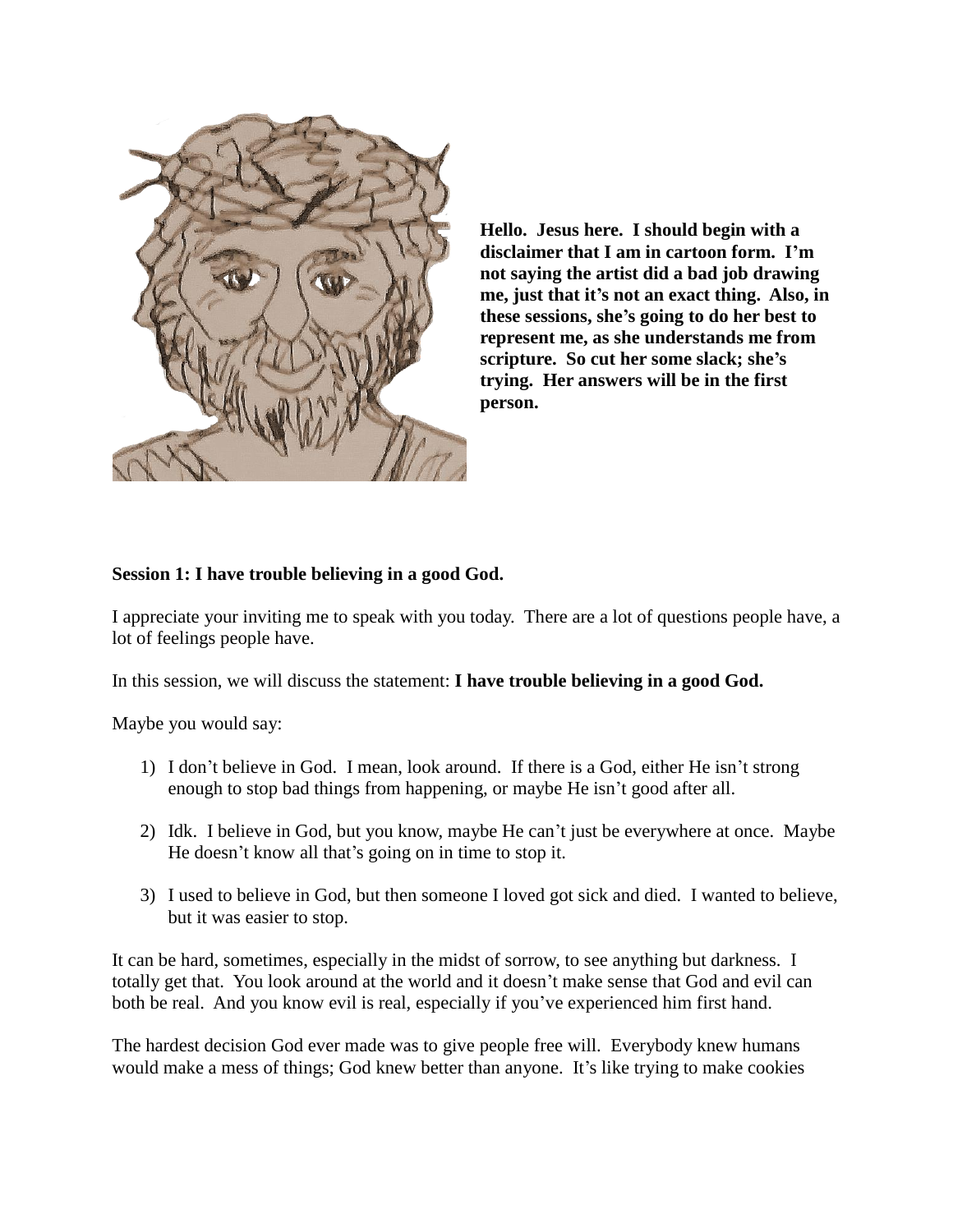

**Hello. Jesus here. I should begin with a disclaimer that I am in cartoon form. I'm not saying the artist did a bad job drawing me, just that it's not an exact thing. Also, in these sessions, she's going to do her best to represent me, as she understands me from scripture. So cut her some slack; she's trying. Her answers will be in the first person.** 

## **Session 1: I have trouble believing in a good God.**

I appreciate your inviting me to speak with you today. There are a lot of questions people have, a lot of feelings people have.

In this session, we will discuss the statement: **I have trouble believing in a good God.**

Maybe you would say:

- 1) I don't believe in God. I mean, look around. If there is a God, either He isn't strong enough to stop bad things from happening, or maybe He isn't good after all.
- 2) Idk. I believe in God, but you know, maybe He can't just be everywhere at once. Maybe He doesn't know all that's going on in time to stop it.
- 3) I used to believe in God, but then someone I loved got sick and died. I wanted to believe, but it was easier to stop.

It can be hard, sometimes, especially in the midst of sorrow, to see anything but darkness. I totally get that. You look around at the world and it doesn't make sense that God and evil can both be real. And you know evil is real, especially if you've experienced him first hand.

The hardest decision God ever made was to give people free will. Everybody knew humans would make a mess of things; God knew better than anyone. It's like trying to make cookies